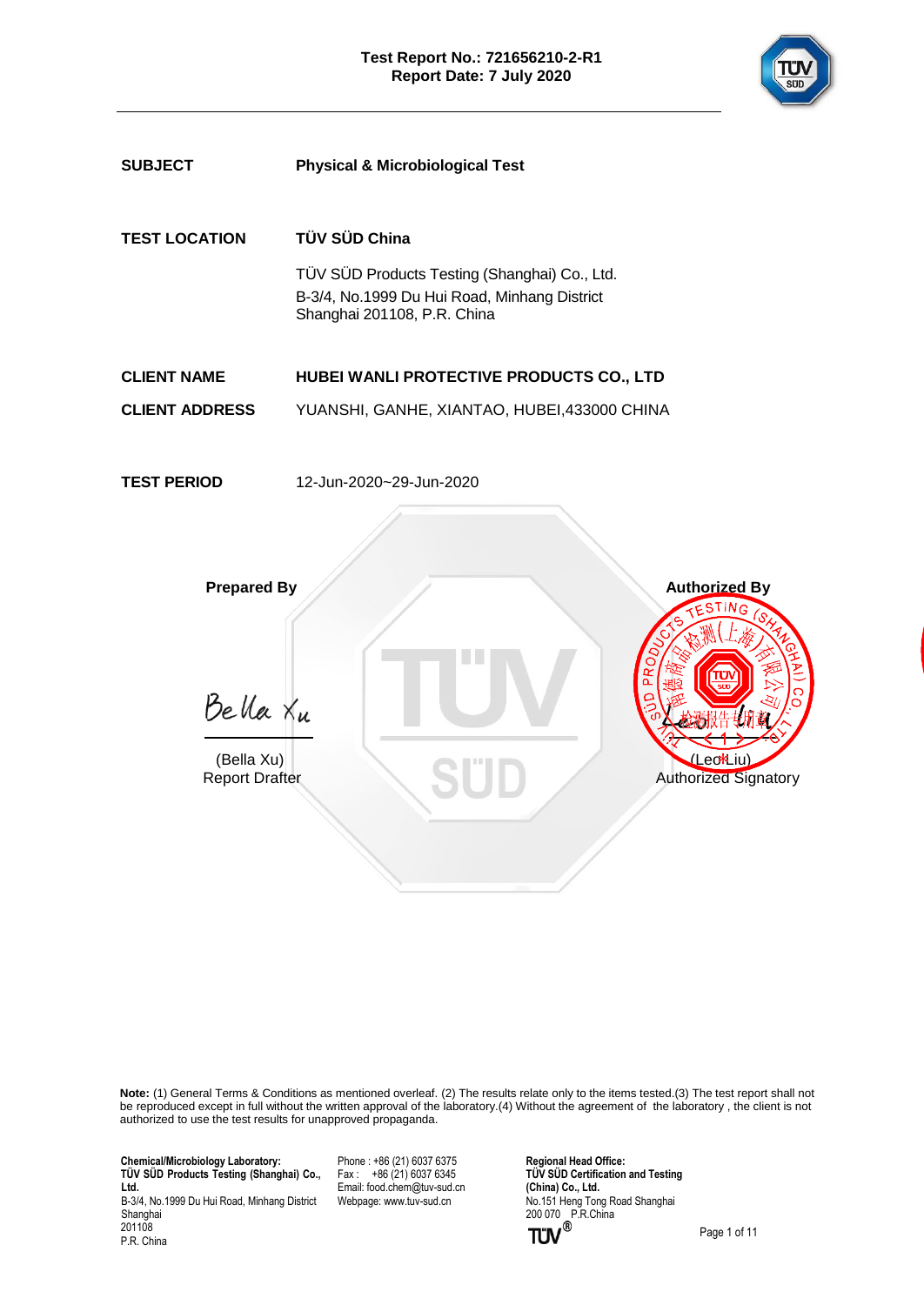



**Note:** (1) General Terms & Conditions as mentioned overleaf. (2) The results relate only to the items tested.(3) The test report shall not be reproduced except in full without the written approval of the laboratory.(4) Without the agreement of the laboratory , the client is not authorized to use the test results for unapproved propaganda.

 **Chemical/Microbiology Laboratory: TÜ V SÜ D Products Testing (Shanghai) Co., Ltd.** B-3/4, No.1999 Du Hui Road, Minhang District

Shanghai 201108 P.R. China Phone : +86 (21) 6037 6375 Fax :  $+86(21)60376345$ Email[: food.chem@tuv-sud.cn](mailto:food.chem@tuv-sud.cn) Webpage[: www.tuv-sud.cn](http://www.tuv-sud.cn/)

**Regional Head Office: TÜV SÜD Certification and Testing (China) Co., Ltd.**  No.151 Heng Tong Road Shanghai 200 070 P.R.China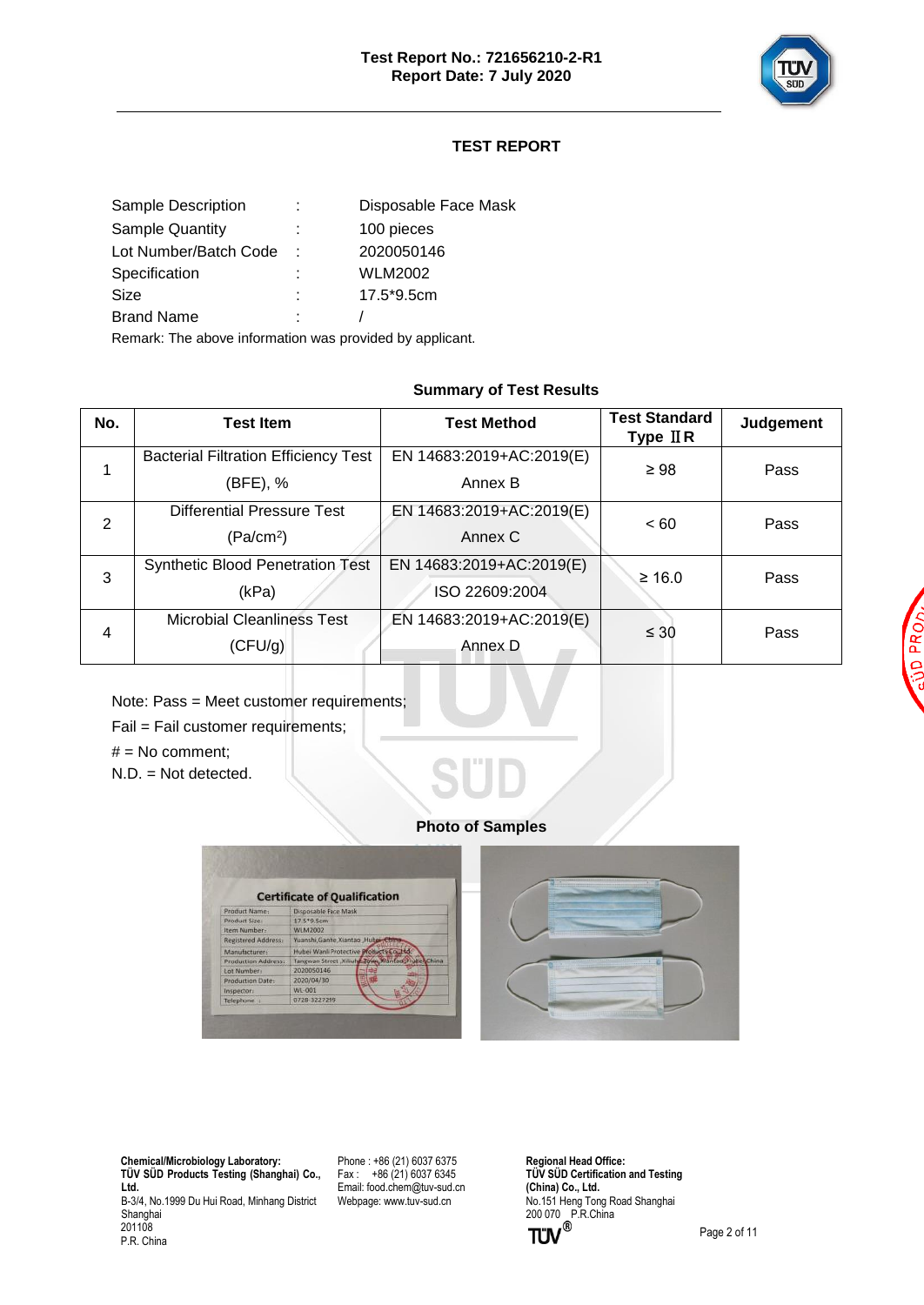

# **TEST REPORT**

|   | Disposable Face Mask |
|---|----------------------|
|   | 100 pieces           |
| ٠ | 2020050146           |
|   | WLM2002              |
|   | 17.5*9.5cm           |
|   |                      |
|   |                      |

Remark: The above information was provided by applicant.

#### **Summary of Test Results**

| No.            | <b>Test Item</b>                            | <b>Test Method</b>       | <b>Test Standard</b><br>Type $I\,I\,R$ | <b>Judgement</b> |
|----------------|---------------------------------------------|--------------------------|----------------------------------------|------------------|
|                | <b>Bacterial Filtration Efficiency Test</b> | EN 14683:2019+AC:2019(E) | $\geq 98$                              | Pass             |
|                | (BFE), %                                    | Annex B                  |                                        |                  |
| 2              | <b>Differential Pressure Test</b>           | EN 14683:2019+AC:2019(E) | < 60                                   | Pass             |
|                | (Pa/cm <sup>2</sup> )                       | Annex C                  |                                        |                  |
| 3              | Synthetic Blood Penetration Test            | EN 14683:2019+AC:2019(E) | ≥ 16.0                                 | Pass             |
|                | (kPa)                                       | ISO 22609:2004           |                                        |                  |
| $\overline{4}$ | <b>Microbial Cleanliness Test</b>           | EN 14683:2019+AC:2019(E) | $\leq 30$                              | Pass             |
|                | (CFU/g)                                     | Annex D                  |                                        |                  |

Note: Pass = Meet customer requirements;

Fail = Fail customer requirements;

 $#$  = No comment;

N.D. = Not detected.

#### **Photo of Samples**



 **Chemical/Microbiology Laboratory: TÜ V SÜ D Products Testing (Shanghai) Co., Ltd.** B-3/4, No.1999 Du Hui Road, Minhang District Shanghai 201108 P.R. China

Phone : +86 (21) 6037 6375  $Fax : +86(21)60376345$ Email[: food.chem@tuv-sud.cn](mailto:food.chem@tuv-sud.cn) Webpage[: www.tuv-sud.cn](http://www.tuv-sud.cn/)

**Regional Head Office: TÜV SÜD Certification and Testing (China) Co., Ltd.**  No.151 Heng Tong Road Shanghai 200 070 P.R.China

Page 2 of 11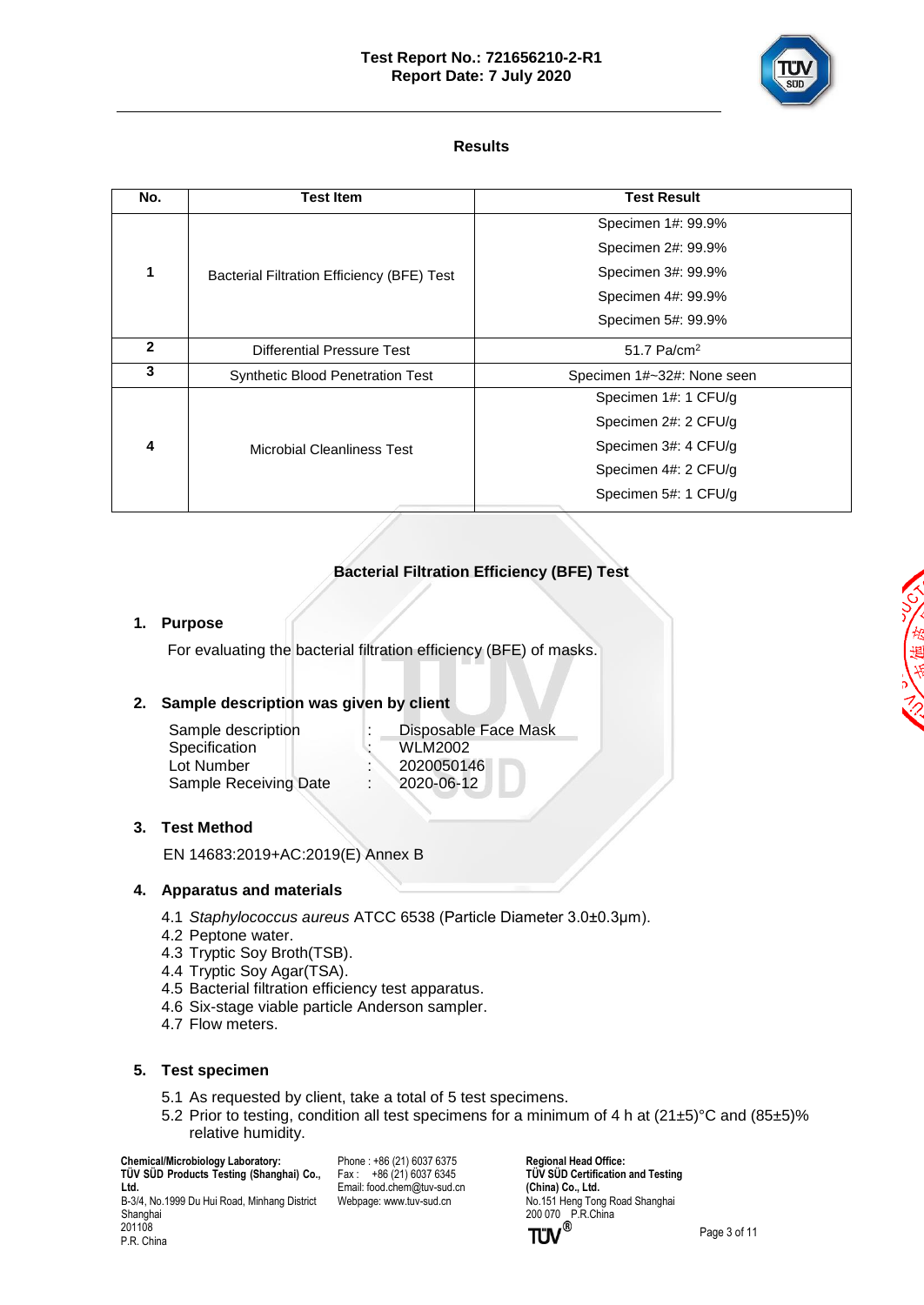#### **Test Report No.: 721656210-2-R1 Report Date: 7 July 2020**



## **Results**

| Specimen 1#: 99.9%         |
|----------------------------|
| Specimen 2#: 99.9%         |
| Specimen 3#: 99.9%         |
| Specimen 4#: 99.9%         |
| Specimen 5#: 99.9%         |
|                            |
| Specimen 1#~32#: None seen |
| Specimen 1#: 1 CFU/g       |
| Specimen 2#: 2 CFU/g       |
| Specimen 3#: 4 CFU/g       |
| Specimen 4#: 2 CFU/g       |
| Specimen 5#: 1 CFU/g       |
|                            |

# **Bacterial Filtration Efficiency (BFE) Test**

## **1. Purpose**

For evaluating the bacterial filtration efficiency (BFE) of masks.

## **2. Sample description was given by client**

| Sample description    | Disposable Face Mask |
|-----------------------|----------------------|
| Specification         | WLM2002              |
| Lot Number            | 2020050146           |
| Sample Receiving Date | 2020-06-12           |
|                       |                      |

#### **3. Test Method**

EN 14683:2019+AC:2019(E) Annex B

#### **4. Apparatus and materials**

- 4.1 *Staphylococcus aureus* ATCC 6538 (Particle Diameter 3.0±0.3μm).
- 4.2 Peptone water.
- 4.3 Tryptic Soy Broth(TSB).
- 4.4 Tryptic Soy Agar(TSA).
- 4.5 Bacterial filtration efficiency test apparatus.
- 4.6 Six-stage viable particle Anderson sampler.
- 4.7 Flow meters.

#### **5. Test specimen**

- 5.1 As requested by client, take a total of 5 test specimens.
- 5.2 Prior to testing, condition all test specimens for a minimum of 4 h at  $(21\pm5)$ °C and  $(85\pm5)$ % relative humidity.

 **Chemical/Microbiology Laboratory:**

P.R. China

 **TÜ V SÜ D Products Testing (Shanghai) Co., Ltd.** B-3/4, No.1999 Du Hui Road, Minhang District Shanghai 201108

Phone : +86 (21) 6037 6375  $Fax : +86(21)60376345$ Email[: food.chem@tuv-sud.cn](mailto:food.chem@tuv-sud.cn) Webpage[: www.tuv-sud.cn](http://www.tuv-sud.cn/)

**Regional Head Office: TÜV SÜD Certification and Testing (China) Co., Ltd.**  No.151 Heng Tong Road Shanghai 200 070 P.R.China

Page 3 of 11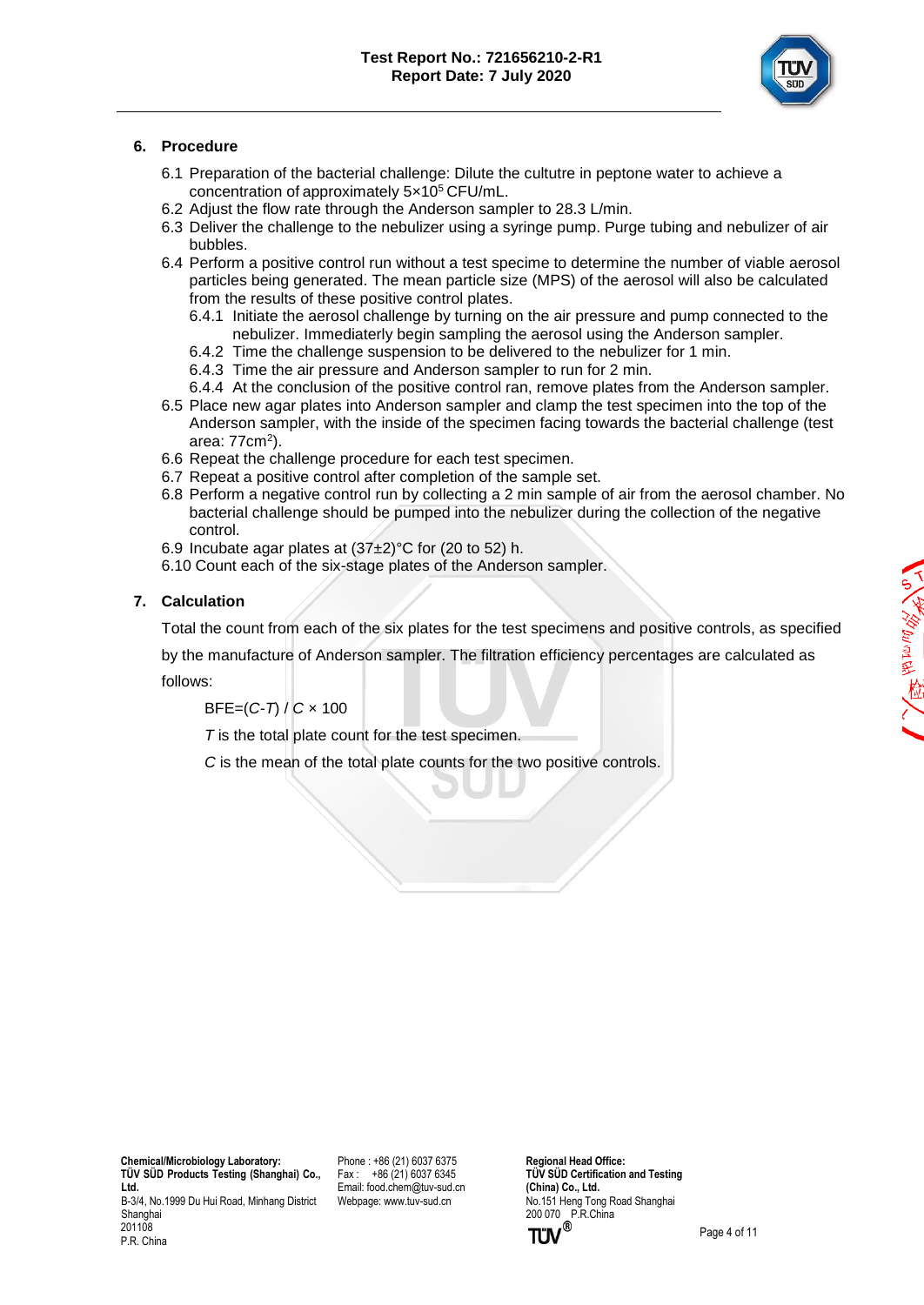

## **6. Procedure**

- 6.1 Preparation of the bacterial challenge: Dilute the cultutre in peptone water to achieve a concentration of approximately 5×10<sup>5</sup> CFU/mL.
- 6.2 Adjust the flow rate through the Anderson sampler to 28.3 L/min.
- 6.3 Deliver the challenge to the nebulizer using a syringe pump. Purge tubing and nebulizer of air bubbles.
- 6.4 Perform a positive control run without a test specime to determine the number of viable aerosol particles being generated. The mean particle size (MPS) of the aerosol will also be calculated from the results of these positive control plates.
	- 6.4.1 Initiate the aerosol challenge by turning on the air pressure and pump connected to the nebulizer. Immediaterly begin sampling the aerosol using the Anderson sampler.
	- 6.4.2 Time the challenge suspension to be delivered to the nebulizer for 1 min.
	- 6.4.3 Time the air pressure and Anderson sampler to run for 2 min.
	- 6.4.4 At the conclusion of the positive control ran, remove plates from the Anderson sampler.
- 6.5 Place new agar plates into Anderson sampler and clamp the test specimen into the top of the Anderson sampler, with the inside of the specimen facing towards the bacterial challenge (test area: 77cm<sup>2</sup>).
- 6.6 Repeat the challenge procedure for each test specimen.
- 6.7 Repeat a positive control after completion of the sample set.
- 6.8 Perform a negative control run by collecting a 2 min sample of air from the aerosol chamber. No bacterial challenge should be pumped into the nebulizer during the collection of the negative control.
- 6.9 Incubate agar plates at  $(37±2)°C$  for  $(20$  to 52) h.
- 6.10 Count each of the six-stage plates of the Anderson sampler.

#### **7. Calculation**

Total the count from each of the six plates for the test specimens and positive controls, as specified

by the manufacture of Anderson sampler. The filtration efficiency percentages are calculated as follows:

BFE=(*C-T*) / *C* × 100

*T* is the total plate count for the test specimen.

*C* is the mean of the total plate counts for the two positive controls.

 **Chemical/Microbiology Laboratory: TÜ V SÜ D Products Testing (Shanghai) Co., Ltd.** B-3/4, No.1999 Du Hui Road, Minhang District Shanghai 201108

P.R. China

Phone : +86 (21) 6037 6375 Fax : +86 (21) 6037 6345 Email[: food.chem@tuv-sud.cn](mailto:food.chem@tuv-sud.cn) Webpage[: www.tuv-sud.cn](http://www.tuv-sud.cn/)

**Regional Head Office: TÜV SÜD Certification and Testing (China) Co., Ltd.**  No.151 Heng Tong Road Shanghai 200 070 P.R.China<br> **TÜV**<sup>®</sup>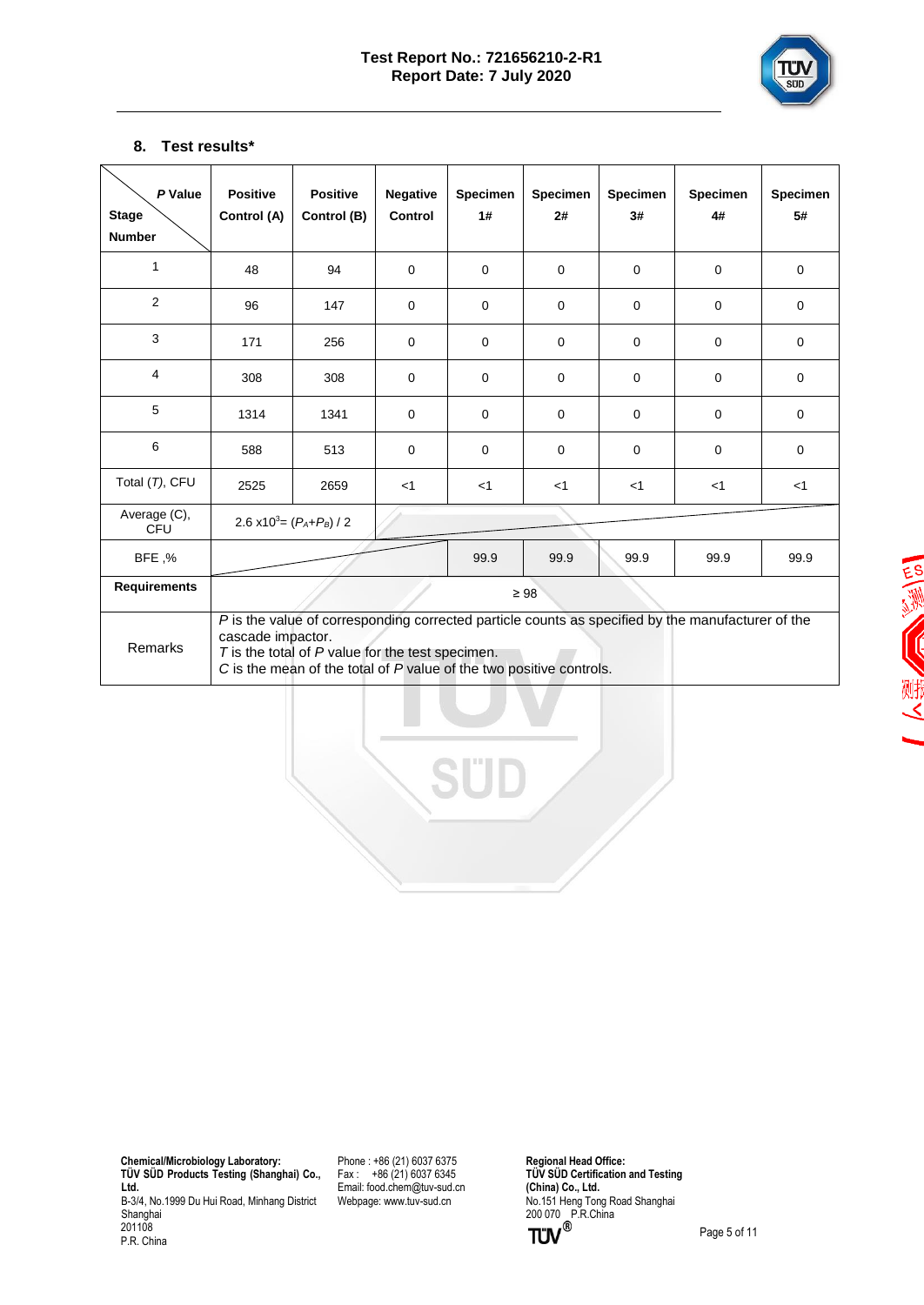

## **8. Test results\***

| P Value<br><b>Stage</b><br><b>Number</b> | <b>Positive</b><br>Control (A) | <b>Positive</b><br>Control (B)                                                                                              | <b>Negative</b><br>Control | Specimen<br>1# | <b>Specimen</b><br>2# | <b>Specimen</b><br>3# | Specimen<br>4#                                                                                    | <b>Specimen</b><br>5# |
|------------------------------------------|--------------------------------|-----------------------------------------------------------------------------------------------------------------------------|----------------------------|----------------|-----------------------|-----------------------|---------------------------------------------------------------------------------------------------|-----------------------|
| 1                                        | 48                             | 94                                                                                                                          | $\Omega$                   | $\Omega$       | $\Omega$              | $\mathbf 0$           | $\mathbf 0$                                                                                       | $\mathbf 0$           |
| $\overline{2}$                           | 96                             | 147                                                                                                                         | $\Omega$                   | $\Omega$       | $\Omega$              | $\mathbf 0$           | $\Omega$                                                                                          | $\Omega$              |
| 3                                        | 171                            | 256                                                                                                                         | $\mathbf 0$                | $\mathbf 0$    | $\mathbf 0$           | $\mathbf 0$           | $\mathbf 0$                                                                                       | $\mathbf 0$           |
| $\overline{4}$                           | 308                            | 308                                                                                                                         | $\Omega$                   | $\Omega$       | $\Omega$              | $\Omega$              | $\Omega$                                                                                          | $\Omega$              |
| 5                                        | 1314                           | 1341                                                                                                                        | 0                          | $\mathbf 0$    | $\mathbf 0$           | $\mathbf 0$           | $\mathbf 0$                                                                                       | $\mathbf 0$           |
| 6                                        | 588                            | 513                                                                                                                         | $\Omega$                   | $\Omega$       | $\Omega$              | $\Omega$              | $\mathbf 0$                                                                                       | $\Omega$              |
| Total (T), CFU                           | 2525                           | 2659                                                                                                                        | $<$ 1                      | $<$ 1          | $<$ 1                 | $<$ 1                 | $<$ 1                                                                                             | $<$ 1                 |
| Average (C),<br>CFU                      |                                | 2.6 x10 <sup>3</sup> = $(P_A+P_B)/2$                                                                                        |                            |                |                       |                       |                                                                                                   |                       |
| BFE,%                                    |                                |                                                                                                                             |                            | 99.9           | 99.9                  | 99.9                  | 99.9                                                                                              | 99.9                  |
| <b>Requirements</b>                      |                                |                                                                                                                             |                            |                | $\geq 98$             |                       |                                                                                                   |                       |
| Remarks                                  | cascade impactor.              | $T$ is the total of $P$ value for the test specimen.<br>C is the mean of the total of P value of the two positive controls. |                            |                |                       |                       | P is the value of corresponding corrected particle counts as specified by the manufacturer of the |                       |

三、沙 (川)

 **Chemical/Microbiology Laboratory: TÜ V SÜ D Products Testing (Shanghai) Co., Ltd.** B-3/4, No.1999 Du Hui Road, Minhang District Shanghai 201108 P.R. China

Phone : +86 (21) 6037 6375 Fax : +86 (21) 6037 6345 Email[: food.chem@tuv-sud.cn](mailto:food.chem@tuv-sud.cn) Webpage[: www.tuv-sud.cn](http://www.tuv-sud.cn/)

**Regional Head Office: TÜ V SÜ D Certification and Testing (China) Co., Ltd.**  No.151 Heng Tong Road Shanghai 200 070 P.R.China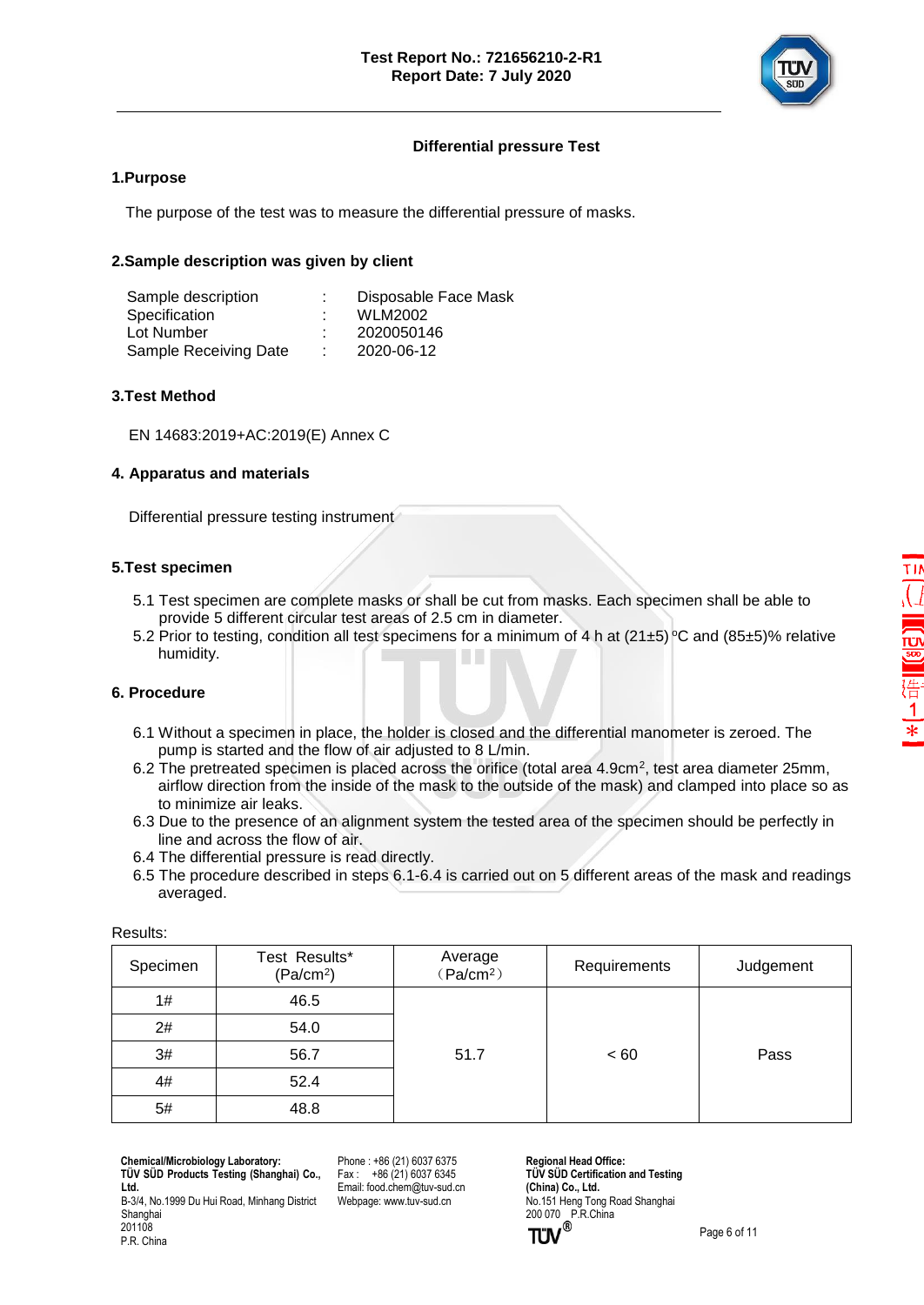

## **Differential pressure Test**

### **1.Purpose**

The purpose of the test was to measure the differential pressure of masks.

### **2.Sample description was given by client**

| Sample description    |    | Disposable Face Mask |
|-----------------------|----|----------------------|
| Specification         |    | <b>WLM2002</b>       |
| Lot Number            |    | 2020050146           |
| Sample Receiving Date | ٠. | 2020-06-12           |

#### **3.Test Method**

EN 14683:2019+AC:2019(E) Annex C

## **4. Apparatus and materials**

Differential pressure testing instrument

#### **5.Test specimen**

- 5.1 Test specimen are complete masks or shall be cut from masks. Each specimen shall be able to provide 5 different circular test areas of 2.5 cm in diameter.
- 5.2 Prior to testing, condition all test specimens for a minimum of 4 h at (21±5) °C and (85±5)% relative humidity.

#### **6. Procedure**

- 6.1 Without a specimen in place, the holder is closed and the differential manometer is zeroed. The pump is started and the flow of air adjusted to 8 L/min.
- 6.2 The pretreated specimen is placed across the orifice (total area 4.9cm<sup>2</sup>, test area diameter 25mm, airflow direction from the inside of the mask to the outside of the mask) and clamped into place so as to minimize air leaks.
	- 6.3 Due to the presence of an alignment system the tested area of the specimen should be perfectly in line and across the flow of air.
	- 6.4 The differential pressure is read directly.
	- 6.5 The procedure described in steps 6.1-6.4 is carried out on 5 different areas of the mask and readings averaged.

| .        |                                        |                                  |              |           |
|----------|----------------------------------------|----------------------------------|--------------|-----------|
| Specimen | Test Results*<br>(Pa/cm <sup>2</sup> ) | Average<br>(Pa/cm <sup>2</sup> ) | Requirements | Judgement |
| 1#       | 46.5                                   |                                  |              |           |
| 2#       | 54.0                                   |                                  |              |           |
| 3#       | 56.7                                   | 51.7                             | < 60         | Pass      |
| 4#       | 52.4                                   |                                  |              |           |
| 5#       | 48.8                                   |                                  |              |           |

Results:

 **Chemical/Microbiology Laboratory: TÜ V SÜ D Products Testing (Shanghai) Co., Ltd.**

B-3/4, No.1999 Du Hui Road, Minhang District Shanghai 201108

Phone : +86 (21) 6037 6375  $Fax : +86(21)60376345$ Email[: food.chem@tuv-sud.cn](mailto:food.chem@tuv-sud.cn) Webpage[: www.tuv-sud.cn](http://www.tuv-sud.cn/)

**Regional Head Office: TÜV SÜD Certification and Testing (China) Co., Ltd.**  No.151 Heng Tong Road Shanghai 200 070 P.R.China<br> **TÜV**<sup>®</sup>

P.R. China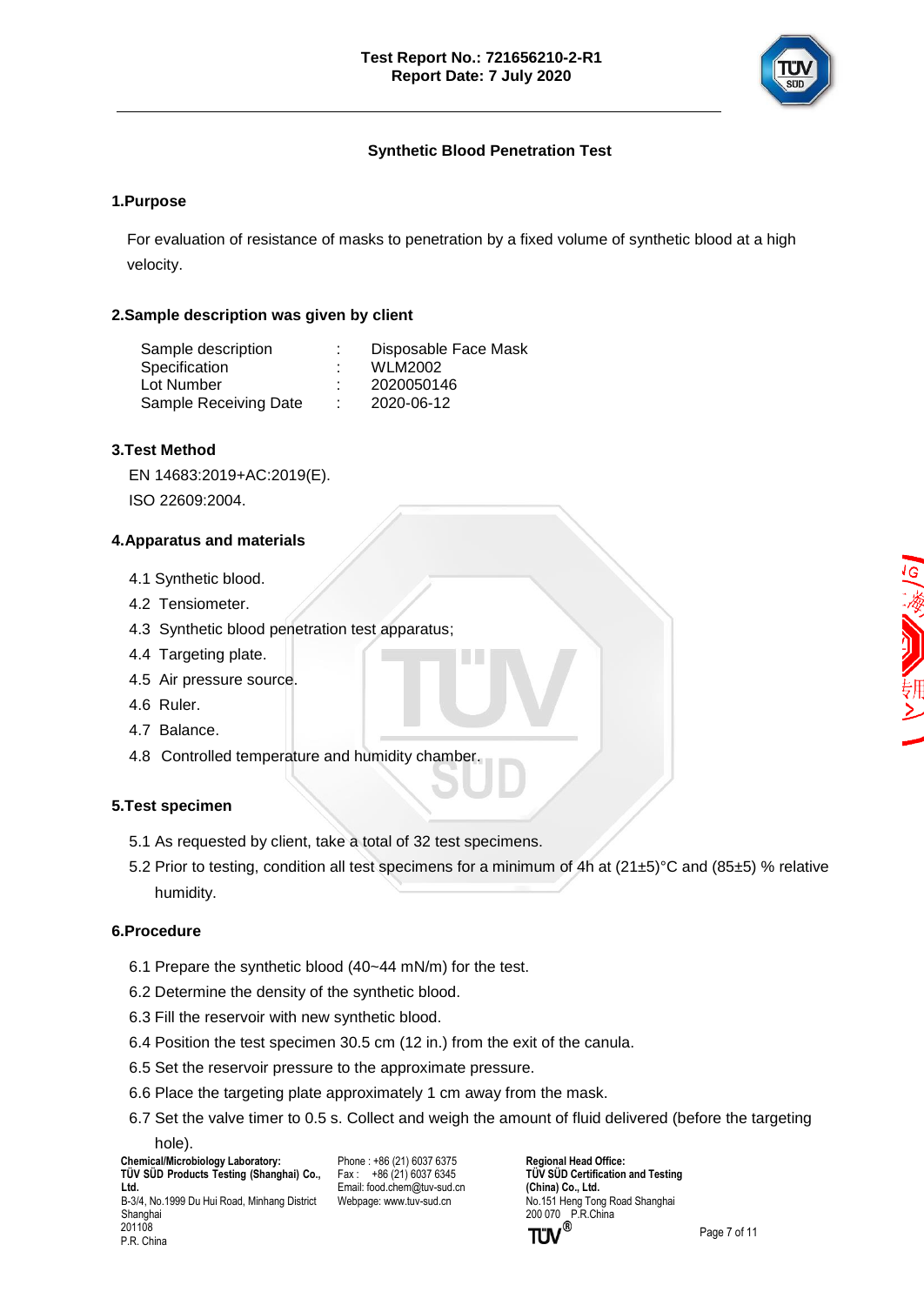

## **Synthetic Blood Penetration Test**

## **1.Purpose**

For evaluation of resistance of masks to penetration by a fixed volume of synthetic blood at a high velocity.

### **2.Sample description was given by client**

| Sample description    |    | Disposable Face Mask |
|-----------------------|----|----------------------|
| Specification         |    | <b>WLM2002</b>       |
| Lot Number            |    | 2020050146           |
| Sample Receiving Date | л. | 2020-06-12           |

#### **3.Test Method**

EN 14683:2019+AC:2019(E).

ISO 22609:2004.

## **4.Apparatus and materials**

- 4.1 Synthetic blood.
- 4.2 Tensiometer.
- 4.3 Synthetic blood penetration test apparatus;
- 4.4 Targeting plate.
- 4.5 Air pressure source.
- 4.6 Ruler.
- 4.7 Balance.
- 4.8 Controlled temperature and humidity chamber.

#### **5.Test specimen**

- 5.1 As requested by client, take a total of 32 test specimens.
- 5.2 Prior to testing, condition all test specimens for a minimum of 4h at (21±5)°C and (85±5) % relative humidity.

#### **6.Procedure**

- 6.1 Prepare the synthetic blood (40~44 mN/m) for the test.
- 6.2 Determine the density of the synthetic blood.
- 6.3 Fill the reservoir with new synthetic blood.
- 6.4 Position the test specimen 30.5 cm (12 in.) from the exit of the canula.
- 6.5 Set the reservoir pressure to the approximate pressure.
- 6.6 Place the targeting plate approximately 1 cm away from the mask.
- 6.7 Set the valve timer to 0.5 s. Collect and weigh the amount of fluid delivered (before the targeting hole).

 **Chemical/Microbiology Laboratory: TÜ V SÜ D Products Testing (Shanghai) Co., Ltd.** B-3/4, No.1999 Du Hui Road, Minhang District Shanghai 201108

Phone : +86 (21) 6037 6375  $Fax : +86(21)60376345$ Email[: food.chem@tuv-sud.cn](mailto:food.chem@tuv-sud.cn) Webpage[: www.tuv-sud.cn](http://www.tuv-sud.cn/)

P.R. China

**TÜV SÜD Certification and Testing (China) Co., Ltd.**  No.151 Heng Tong Road Shanghai 200 070 P.R.China<br> **TÜV**<sup>®</sup>

**Regional Head Office:**

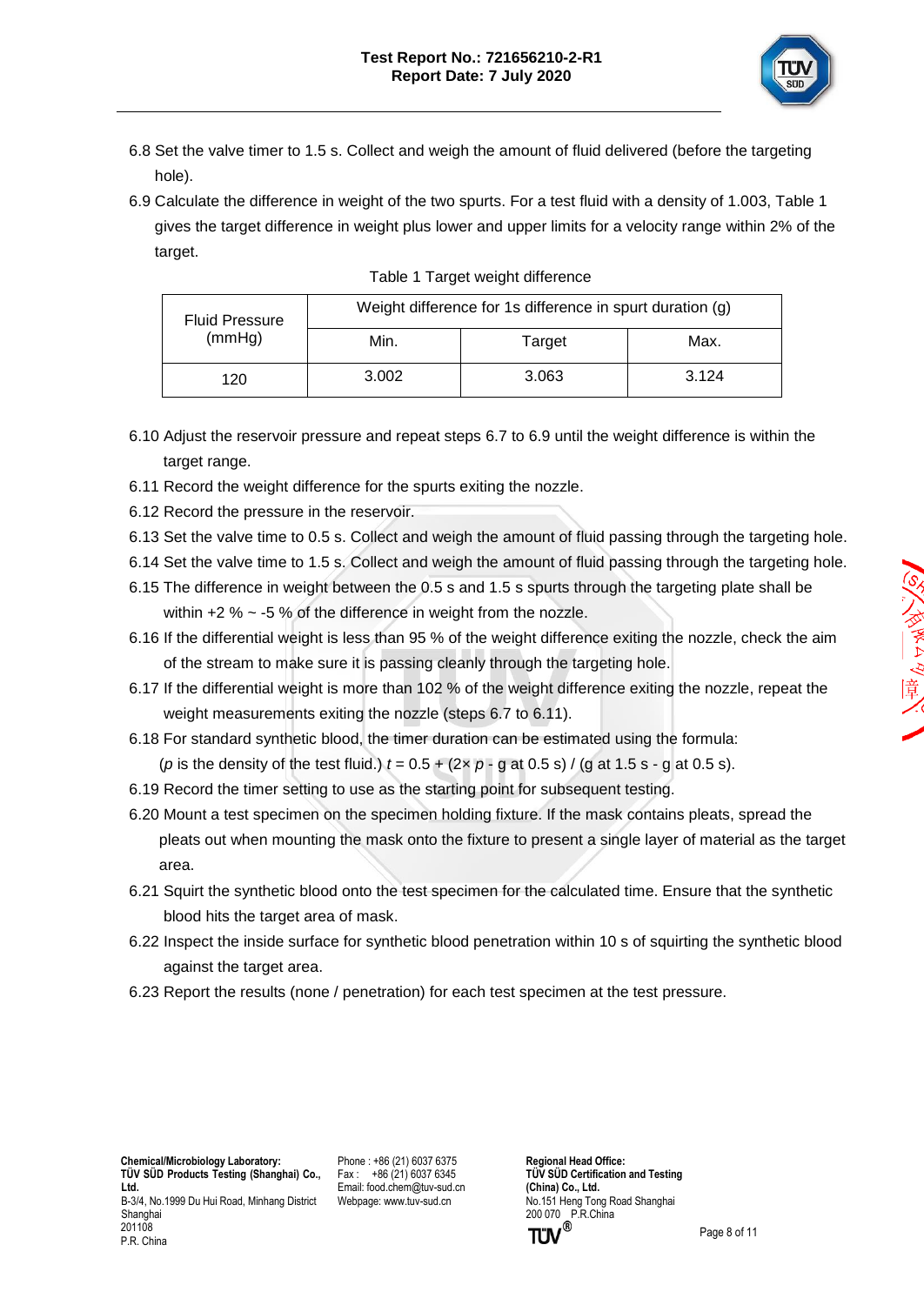

- 6.8 Set the valve timer to 1.5 s. Collect and weigh the amount of fluid delivered (before the targeting hole).
- 6.9 Calculate the difference in weight of the two spurts. For a test fluid with a density of 1.003, Table 1 gives the target difference in weight plus lower and upper limits for a velocity range within 2% of the target.

| <b>Fluid Pressure</b> |       | Weight difference for 1s difference in spurt duration (g) |       |  |
|-----------------------|-------|-----------------------------------------------------------|-------|--|
| (mmHg)                | Min.  | Target                                                    | Max.  |  |
| 120                   | 3.002 | 3.063                                                     | 3.124 |  |

| Table 1 Target weight difference |  |
|----------------------------------|--|
|                                  |  |

- 6.10 Adjust the reservoir pressure and repeat steps 6.7 to 6.9 until the weight difference is within the target range.
- 6.11 Record the weight difference for the spurts exiting the nozzle.
- 6.12 Record the pressure in the reservoir.
- 6.13 Set the valve time to 0.5 s. Collect and weigh the amount of fluid passing through the targeting hole.
- 6.14 Set the valve time to 1.5 s. Collect and weigh the amount of fluid passing through the targeting hole.
- 6.15 The difference in weight between the 0.5 s and 1.5 s spurts through the targeting plate shall be within  $+2$  %  $\sim$  -5 % of the difference in weight from the nozzle.
- 6.16 If the differential weight is less than 95 % of the weight difference exiting the nozzle, check the aim of the stream to make sure it is passing cleanly through the targeting hole.
- 6.17 If the differential weight is more than 102 % of the weight difference exiting the nozzle, repeat the weight measurements exiting the nozzle (steps 6.7 to 6.11).
- 6.18 For standard synthetic blood, the timer duration can be estimated using the formula: (*p* is the density of the test fluid.)  $t = 0.5 + (2 \times p - q \text{ at } 0.5 \text{ s}) / (q \text{ at } 1.5 \text{ s} - q \text{ at } 0.5 \text{ s}).$
- 6.19 Record the timer setting to use as the starting point for subsequent testing.
- 6.20 Mount a test specimen on the specimen holding fixture. If the mask contains pleats, spread the pleats out when mounting the mask onto the fixture to present a single layer of material as the target area.
- 6.21 Squirt the synthetic blood onto the test specimen for the calculated time. Ensure that the synthetic blood hits the target area of mask.
- 6.22 Inspect the inside surface for synthetic blood penetration within 10 s of squirting the synthetic blood against the target area.
- 6.23 Report the results (none / penetration) for each test specimen at the test pressure.

 **Chemical/Microbiology Laboratory: TÜ V SÜ D Products Testing (Shanghai) Co., Ltd.** B-3/4, No.1999 Du Hui Road, Minhang District Shanghai 201108 P.R. China

Phone : +86 (21) 6037 6375 Fax : +86 (21) 6037 6345 Email[: food.chem@tuv-sud.cn](mailto:food.chem@tuv-sud.cn) Webpage[: www.tuv-sud.cn](http://www.tuv-sud.cn/)

**Regional Head Office: TÜV SÜD Certification and Testing (China) Co., Ltd.**  No.151 Heng Tong Road Shanghai 200 070 P.R.China<br> **TÜV**<sup>®</sup>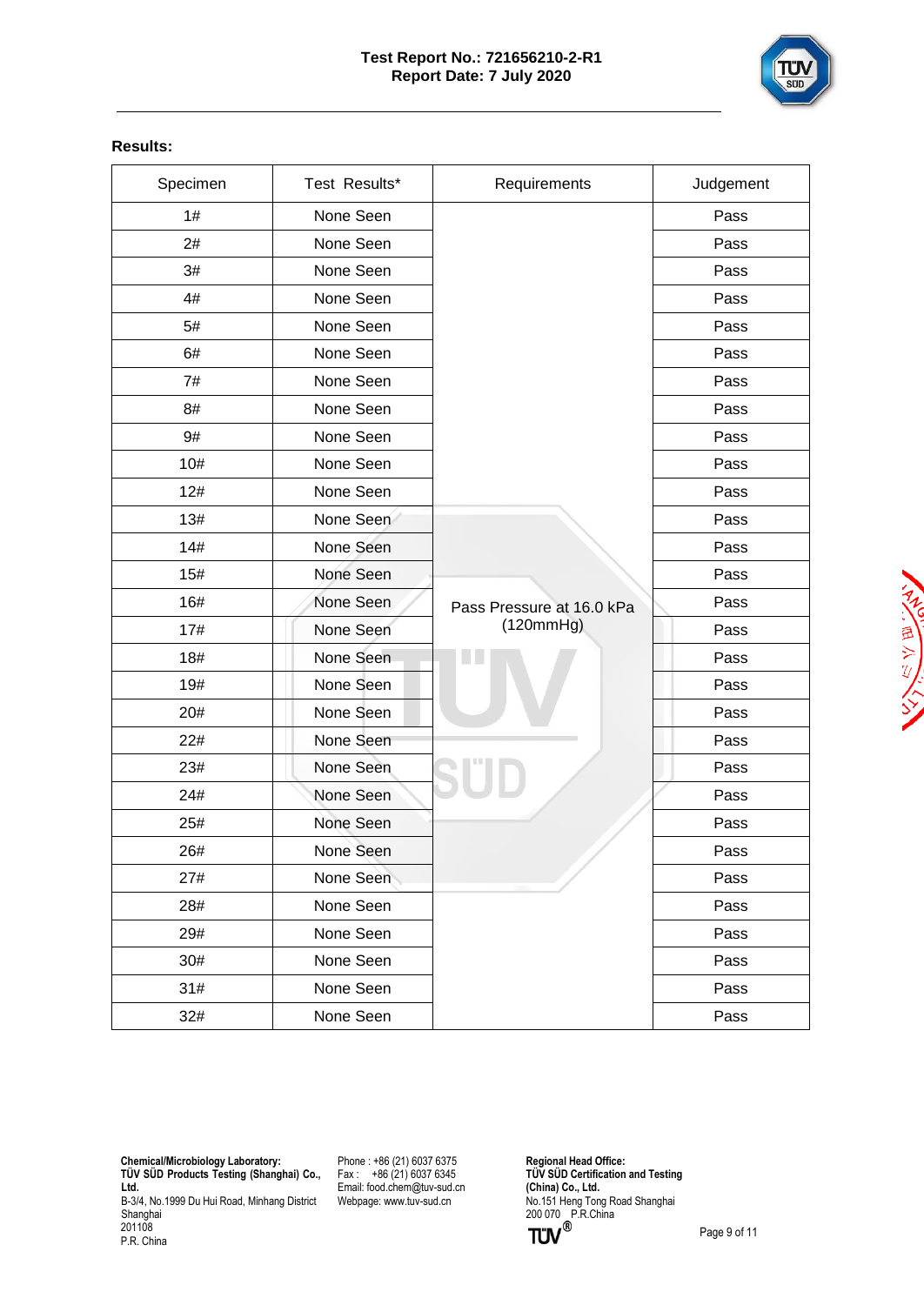

#### **Results:**

| Specimen | Test Results* | Requirements              | Judgement |
|----------|---------------|---------------------------|-----------|
| 1#       | None Seen     |                           | Pass      |
| 2#       | None Seen     |                           | Pass      |
| 3#       | None Seen     |                           | Pass      |
| 4#       | None Seen     |                           | Pass      |
| 5#       | None Seen     |                           | Pass      |
| 6#       | None Seen     |                           | Pass      |
| 7#       | None Seen     |                           | Pass      |
| 8#       | None Seen     |                           | Pass      |
| 9#       | None Seen     |                           | Pass      |
| 10#      | None Seen     |                           | Pass      |
| 12#      | None Seen     |                           | Pass      |
| 13#      | None Seen     |                           | Pass      |
| 14#      | None Seen     |                           | Pass      |
| 15#      | None Seen     |                           | Pass      |
| 16#      | None Seen     | Pass Pressure at 16.0 kPa | Pass      |
| 17#      | None Seen     | (120mmHg)                 | Pass      |
| 18#      | None Seen     |                           | Pass      |
| 19#      | None Seen     |                           | Pass      |
| 20#      | None Seen     |                           | Pass      |
| 22#      | None Seen     |                           | Pass      |
| 23#      | None Seen     |                           | Pass      |
| 24#      | None Seen     |                           | Pass      |
| 25#      | None Seen     |                           | Pass      |
| 26#      | None Seen     |                           | Pass      |
| 27#      | None Seen     |                           | Pass      |
| 28#      | None Seen     |                           | Pass      |
| 29#      | None Seen     |                           | Pass      |
| 30#      | None Seen     |                           | Pass      |
| 31#      | None Seen     |                           | Pass      |
| 32#      | None Seen     |                           | Pass      |

 **Chemical/Microbiology Laboratory: TÜ V SÜ D Products Testing (Shanghai) Co., Ltd.** B-3/4, No.1999 Du Hui Road, Minhang District Shanghai 201108

Phone : +86 (21) 6037 6375 Fax : +86 (21) 6037 6345 Email[: food.chem@tuv-sud.cn](mailto:food.chem@tuv-sud.cn) Webpage[: www.tuv-sud.cn](http://www.tuv-sud.cn/)

**Regional Head Office: TÜ V SÜ D Certification and Testing (China) Co., Ltd.**  No.151 Heng Tong Road Shanghai 200 070 P.R.China

P.R. China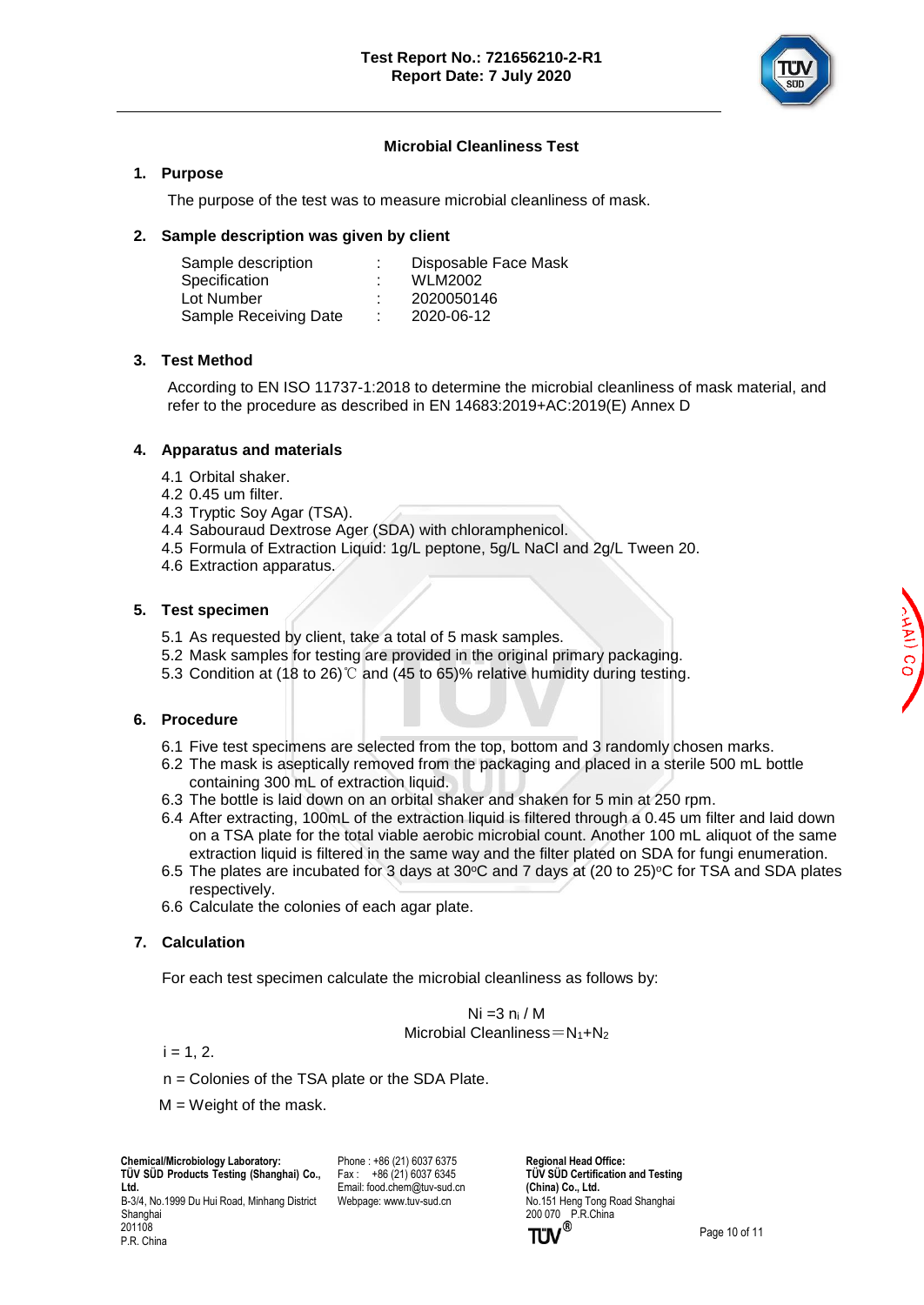

## **Microbial Cleanliness Test**

#### **1. Purpose**

The purpose of the test was to measure microbial cleanliness of mask.

#### **2. Sample description was given by client**

| Sample description    | Disposable Face Mask |
|-----------------------|----------------------|
| Specification         | <b>WLM2002</b>       |
| Lot Number            | 2020050146           |
| Sample Receiving Date | 2020-06-12           |
|                       |                      |

## **3. Test Method**

According to EN ISO 11737-1:2018 to determine the microbial cleanliness of mask material, and refer to the procedure as described in EN 14683:2019+AC:2019(E) Annex D

## **4. Apparatus and materials**

- 4.1 Orbital shaker.
- 4.2 0.45 um filter.
- 4.3 Tryptic Soy Agar (TSA).
- 4.4 Sabouraud Dextrose Ager (SDA) with chloramphenicol.
- 4.5 Formula of Extraction Liquid: 1g/L peptone, 5g/L NaCl and 2g/L Tween 20.
- 4.6 Extraction apparatus.

## **5. Test specimen**

- 5.1 As requested by client, take a total of 5 mask samples.
- 5.2 Mask samples for testing are provided in the original primary packaging.
- 5.3 Condition at (18 to 26)℃ and (45 to 65)% relative humidity during testing.

## **6. Procedure**

- 6.1 Five test specimens are selected from the top, bottom and 3 randomly chosen marks.
- 6.2 The mask is aseptically removed from the packaging and placed in a sterile 500 mL bottle containing 300 mL of extraction liquid.
- 6.3 The bottle is laid down on an orbital shaker and shaken for 5 min at 250 rpm.
- 6.4 After extracting, 100mL of the extraction liquid is filtered through a 0.45 um filter and laid down on a TSA plate for the total viable aerobic microbial count. Another 100 mL aliquot of the same extraction liquid is filtered in the same way and the filter plated on SDA for fungi enumeration.
- 6.5 The plates are incubated for 3 days at 30 $\degree$ C and 7 days at (20 to 25) $\degree$ C for TSA and SDA plates respectively.
- 6.6 Calculate the colonies of each agar plate.

## **7. Calculation**

For each test specimen calculate the microbial cleanliness as follows by:

Ni =3 n<sup>i</sup> / M Microbial Cleanliness= $N_1 + N_2$ 

 $i = 1, 2.$ 

P.R. China

- n = Colonies of the TSA plate or the SDA Plate.
- $M = Weight$  of the mask.

Phone : +86 (21) 6037 6375 Fax : +86 (21) 6037 6345 Email[: food.chem@tuv-sud.cn](mailto:food.chem@tuv-sud.cn) Webpage[: www.tuv-sud.cn](http://www.tuv-sud.cn/)

**Regional Head Office: TÜV SÜD Certification and Testing (China) Co., Ltd.**  No.151 Heng Tong Road Shanghai 200 070 P.R.China<br> **TÜV**<sup>®</sup>